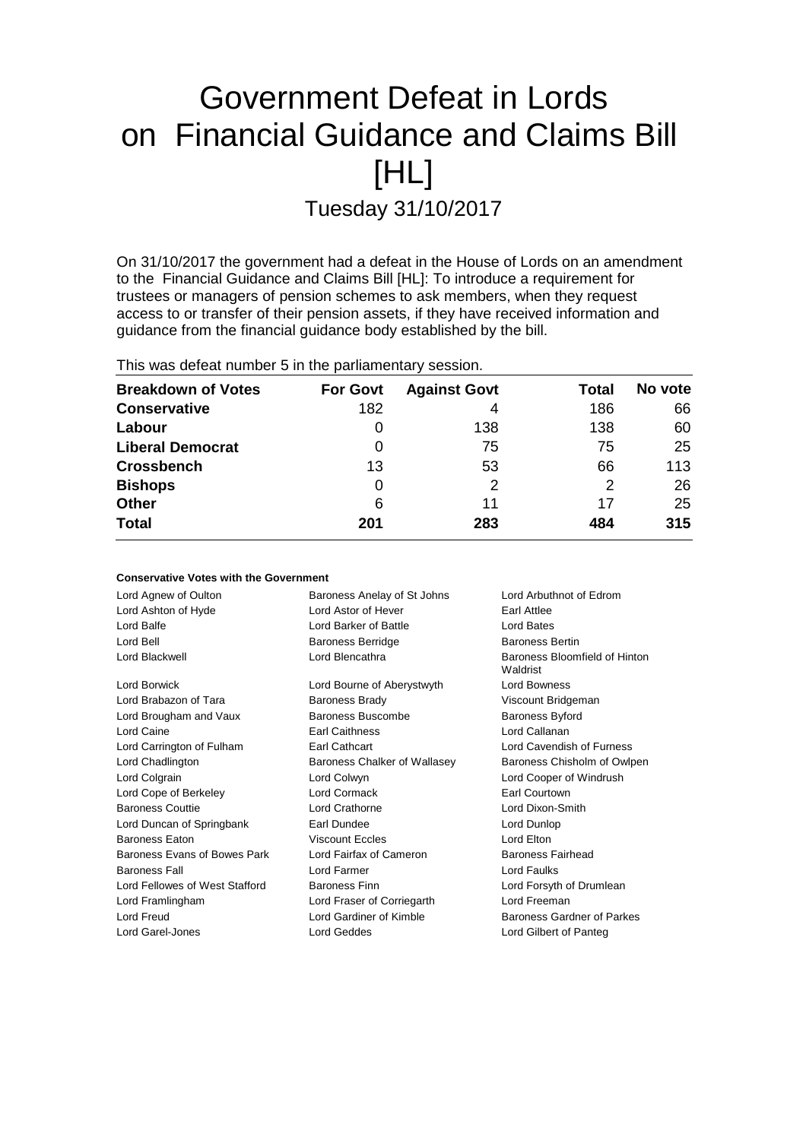# Government Defeat in Lords on Financial Guidance and Claims Bill [HL] Tuesday 31/10/2017

On 31/10/2017 the government had a defeat in the House of Lords on an amendment to the Financial Guidance and Claims Bill [HL]: To introduce a requirement for trustees or managers of pension schemes to ask members, when they request access to or transfer of their pension assets, if they have received information and guidance from the financial guidance body established by the bill.

This was defeat number 5 in the parliamentary session.

**Conservative Votes with the Government**

| <b>Breakdown of Votes</b> | <b>For Govt</b> | <b>Against Govt</b> | Total | No vote |
|---------------------------|-----------------|---------------------|-------|---------|
| <b>Conservative</b>       | 182             | 4                   | 186   | 66      |
| Labour                    | 0               | 138                 | 138   | 60      |
| <b>Liberal Democrat</b>   | 0               | 75                  | 75    | 25      |
| <b>Crossbench</b>         | 13              | 53                  | 66    | 113     |
| <b>Bishops</b>            | 0               |                     | 2     | 26      |
| <b>Other</b>              | 6               | 11                  | 17    | 25      |
| <b>Total</b>              | 201             | 283                 | 484   | 315     |

| oonagi vuuvu vuud wilii ulu oovuliilidiil |                                                       |                                           |  |
|-------------------------------------------|-------------------------------------------------------|-------------------------------------------|--|
| Lord Agnew of Oulton                      | Baroness Anelay of St Johns                           | Lord Arbuthnot of Edrom                   |  |
| Lord Ashton of Hyde                       | Lord Astor of Hever                                   | <b>Earl Attlee</b>                        |  |
| Lord Balfe                                | Lord Barker of Battle                                 | Lord Bates                                |  |
| Lord Bell                                 | <b>Baroness Berridge</b>                              | <b>Baroness Bertin</b>                    |  |
| Lord Blackwell                            | Lord Blencathra                                       | Baroness Bloomfield of Hinton<br>Waldrist |  |
| Lord Borwick                              | Lord Bourne of Aberystwyth                            | <b>Lord Bowness</b>                       |  |
| Lord Brabazon of Tara                     | <b>Baroness Brady</b>                                 | Viscount Bridgeman                        |  |
| Lord Brougham and Vaux                    | Baroness Buscombe                                     | Baroness Byford                           |  |
| Lord Caine                                | <b>Earl Caithness</b>                                 | Lord Callanan                             |  |
| Lord Carrington of Fulham                 | Earl Cathcart                                         | Lord Cavendish of Furness                 |  |
| Lord Chadlington                          | Baroness Chalker of Wallasey                          | Baroness Chisholm of Owlpen               |  |
| Lord Colgrain                             | Lord Colwyn                                           | Lord Cooper of Windrush                   |  |
| Lord Cope of Berkeley                     | Lord Cormack                                          | Earl Courtown                             |  |
| <b>Baroness Couttie</b>                   | Lord Crathorne                                        | Lord Dixon-Smith                          |  |
| Lord Duncan of Springbank                 | Earl Dundee                                           | Lord Dunlop                               |  |
| Baroness Eaton                            | <b>Viscount Eccles</b>                                | Lord Elton                                |  |
| Baroness Evans of Bowes Park              | Lord Fairfax of Cameron                               | Baroness Fairhead                         |  |
| <b>Baroness Fall</b>                      | Lord Farmer                                           | Lord Faulks                               |  |
| Lord Fellowes of West Stafford            | <b>Baroness Finn</b>                                  | Lord Forsyth of Drumlean                  |  |
| Lord Framlingham                          | Lord Fraser of Corriegarth                            | Lord Freeman                              |  |
| Lord Freud                                | Lord Gardiner of Kimble<br>Baroness Gardner of Parkes |                                           |  |
| Lord Garel-Jones                          | <b>Lord Geddes</b>                                    | Lord Gilbert of Panteg                    |  |
|                                           |                                                       |                                           |  |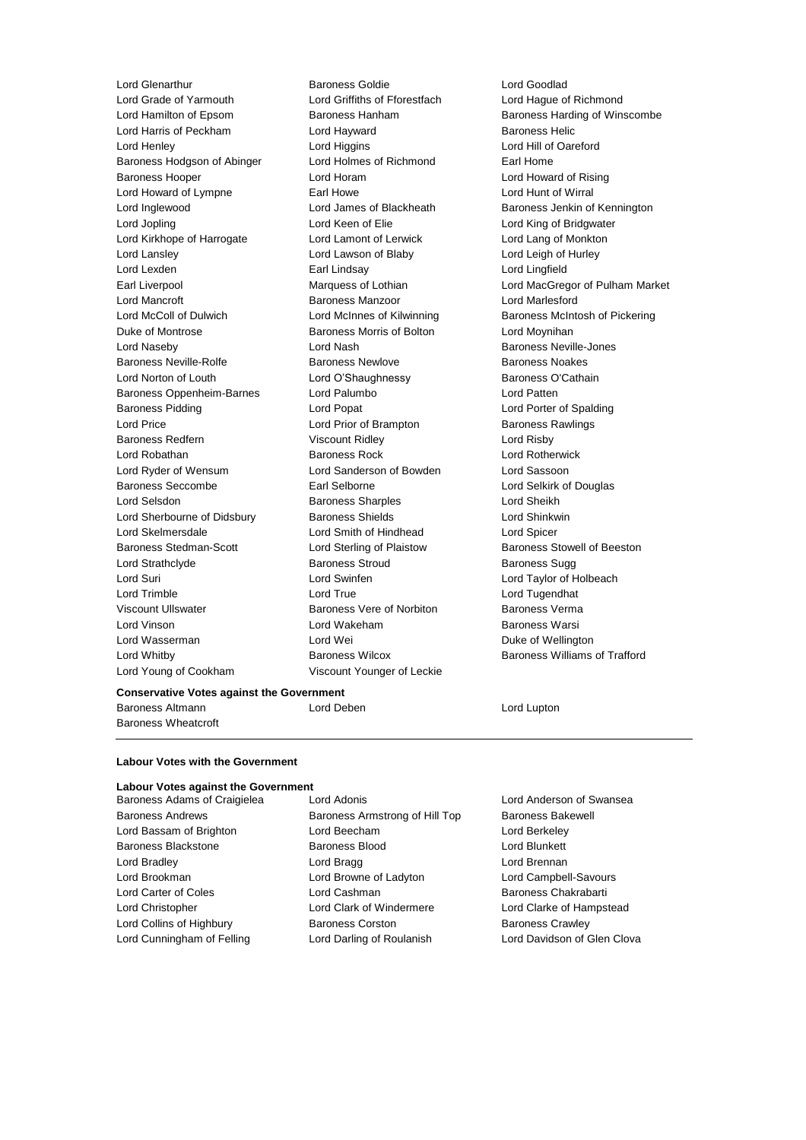Lord Grade of Yarmouth Lord Griffiths of Fforestfach Lord Hague of Richmond Lord Harris of Peckham Lord Hayward Baroness Helic Lord Henley Lord Higgins Lord Hill of Oareford Baroness Hodgson of Abinger Lord Holmes of Richmond Earl Home Baroness Hooper Lord Horam Lord Howard of Rising Lord Howard of Lympne Earl Howe Lord Hunt of Wirral Lord Inglewood **Lord James of Blackheath** Baroness Jenkin of Kennington Lord Jopling Lord Keen of Elie Lord King of Bridgwater Lord Kirkhope of Harrogate Lord Lamont of Lerwick Lord Lang of Monkton Lord Lansley Lord Lawson of Blaby Lord Leigh of Hurley Lord Lexden Earl Lindsay Lord Lingfield Lord Mancroft Baroness Manzoor Lord Marlesford Lord McColl of Dulwich **Lord McInnes of Kilwinning** Baroness McIntosh of Pickering Duke of Montrose The Baroness Morris of Bolton Theory Cord Moynihan Lord Naseby **Lord Nash Baroness Neville-Jones** Baroness Neville-Rolfe **Baroness Newlove** Baroness Newlove **Baroness Noakes** Lord Norton of Louth Lord O'Shaughnessy Baroness O'Cathain Baroness Oppenheim-Barnes Lord Palumbo **Lord Patten** Baroness Pidding Lord Popat Lord Porter of Spalding Lord Price **Lord Prior of Brampton** Baroness Rawlings Baroness Redfern Viscount Ridley Lord Risby Lord Robathan Baroness Rock Lord Rotherwick Lord Ryder of Wensum Lord Sanderson of Bowden Lord Sassoon Baroness Seccombe Earl Selborne Lord Selkirk of Douglas Lord Selsdon **Baroness Sharples** Lord Sheikh Lord Sherbourne of Didsbury **Baroness Shields Lord Shinkwin** Lord Skelmersdale Lord Smith of Hindhead Lord Spicer Baroness Stedman-Scott Lord Sterling of Plaistow Baroness Stowell of Beeston Lord Strathclyde **Baroness Stroud** Baroness Sugg Lord Suri Lord Swinfen Lord Taylor of Holbeach Lord Trimble Lord True Lord Tugendhat Viscount Ullswater Baroness Vere of Norbiton Baroness Verma Lord Vinson Lord Wakeham Baroness Warsi Lord Wasserman and Lord Wei Duke of Wellington Duke of Wellington Lord Whitby **Baroness Wilcox** Baroness Wilcox **Baroness Williams of Trafford** Lord Young of Cookham Viscount Younger of Leckie

Lord Glenarthur Baroness Goldie Lord Goodlad

Lord Hamilton of Epsom **Baroness Hanham** Baroness Hanham Baroness Harding of Winscombe Earl Liverpool Marquess of Lothian Lord MacGregor of Pulham Market

### **Conservative Votes against the Government**

Baroness Altmann Lord Deben Lord Lupton Baroness Wheatcroft

### **Labour Votes with the Government**

### **Labour Votes against the Government**

Baroness Andrews **Baroness Armstrong of Hill Top** Baroness Bakewell Lord Bassam of Brighton Lord Beecham Lord Berkeley Baroness Blackstone **Baroness Blood Baroness Blood** Lord Blunkett Lord Bradley **Lord Bragg Lord Bragg Lord Brennan** Lord Brookman Lord Browne of Ladyton Lord Campbell-Savours Lord Carter of Coles Lord Cashman Baroness Chakrabarti Lord Christopher Lord Clark of Windermere Lord Clarke of Hampstead Lord Collins of Highbury **Baroness Corston** Baroness Corston Baroness Crawley

Baroness Adams of Craigielea Lord Adonis Lord Anderson of Swansea

Lord Cunningham of Felling **Lord Darling of Roulanish Lord Davidson of Glen Clova**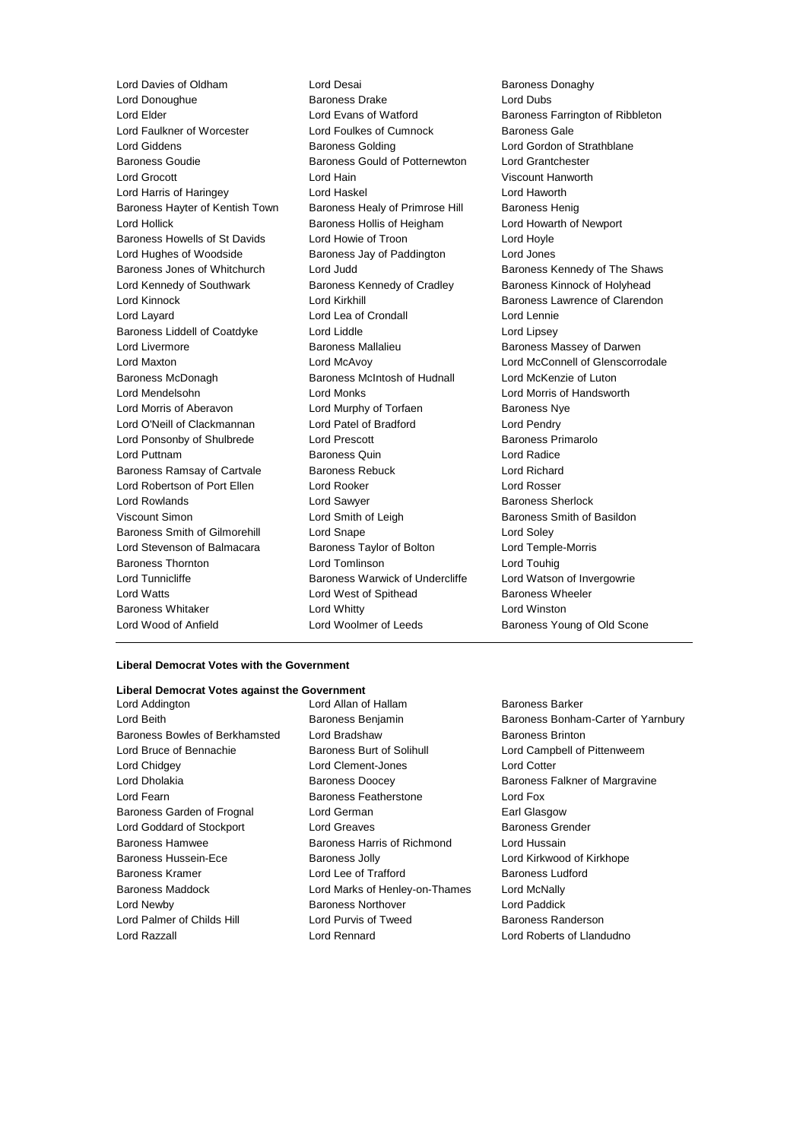Lord Davies of Oldham Lord Desai Baroness Donaghy<br>
Lord Donoughue **Baroness Desainess Drake** Lord Dubs<br>
Baroness Drake **Baroness Drake** Lord Donoughue Baroness Drake Lord Dubs Lord Elder Lord Evans of Watford Baroness Farrington of Ribbleton Lord Faulkner of Worcester Lord Foulkes of Cumnock Baroness Gale Lord Giddens Baroness Golding Lord Gordon of Strathblane Baroness Goudie **Baroness Gould of Potternewton** Lord Grantchester<br>
Lord Grocott **Acknowled Lord Hain**<br>
Lord Hain Lord Grocott Lord Hain Viscount Hanworth Lord Harris of Haringey Lord Haskel Lord Haworth Baroness Hayter of Kentish Town Baroness Healy of Primrose Hill Baroness Henig Lord Hollick **Baroness Hollis of Heigham** Lord Howarth of Newport Baroness Howells of St Davids Lord Howie of Troon Lord Hoyle Lord Hughes of Woodside **Baroness Jay of Paddington** Lord Jones Baroness Jones of Whitchurch Lord Judd Baroness Kennedy of The Shaws Lord Kennedy of Southwark **Baroness Kennedy of Cradley** Baroness Kinnock of Holyhead Lord Kinnock Lord Kirkhill Baroness Lawrence of Clarendon Lord Layard Lord Lea of Crondall Lord Lennie Baroness Liddell of Coatdyke Lord Liddle Lord Lines Lord Lipsey Lord Livermore **Baroness Mallalieu** Baroness Mallalieu Baroness Massey of Darwen Lord Maxton Lord McAvoy Lord McConnell of Glenscorrodale Baroness McDonagh Baroness McIntosh of Hudnall Lord McKenzie of Luton Lord Mendelsohn Lord Monks Lord Morris of Handsworth Lord Morris of Aberavon **Lord Murphy of Torfaen** Baroness Nye Lord O'Neill of Clackmannan Lord Patel of Bradford Lord Pendry Lord Ponsonby of Shulbrede Lord Prescott Baroness Primarolo Lord Puttnam Baroness Quin Lord Radice Baroness Ramsay of Cartvale Baroness Rebuck Lord Richard Lord Robertson of Port Ellen Lord Rooker Lord Rosser Lord Rowlands **Lord Sawyer Lord Sawyer Baroness Sherlock** Viscount Simon **Example 2** Lord Smith of Leigh Baroness Smith of Basildon Baroness Smith of Gilmorehill Lord Snape Lord Soley Lord Stevenson of Balmacara Baroness Taylor of Bolton Lord Temple-Morris Baroness Thornton Lord Tomlinson Lord Touhig Lord Tunnicliffe **Baroness Warwick of Undercliffe** Lord Watson of Invergowrie Lord Watts Lord West of Spithead Baroness Wheeler Baroness Whitaker Lord Whitty Lord Winston

Lord Wood of Anfield **Lord Woolmer of Leeds** Baroness Young of Old Scone

### **Liberal Democrat Votes with the Government**

## **Liberal Democrat Votes against the Government**

Baroness Bowles of Berkhamsted Lord Bradshaw **Baroness Brinton** Lord Bruce of Bennachie **Baroness Burt of Solihull** Lord Campbell of Pittenweem Lord Chidgey Lord Clement-Jones Lord Cotter Lord Dholakia **Baroness Doocey** Baroness Doocey Baroness Falkner of Margravine Lord Fearn **Baroness Featherstone** Lord Fox Baroness Garden of Frognal Lord German **Earl Glasgow** Earl Glasgow Lord Goddard of Stockport Lord Greaves **Baroness Grender** Baroness Hamwee **Baroness Harris of Richmond** Lord Hussain Baroness Hussein-Ece **Baroness Jolly Lord Kirkwood of Kirkhope** Baroness Kramer **Lord Lee of Trafford** Baroness Ludford Baroness Ludford Baroness Maddock Lord Marks of Henley-on-Thames Lord McNally Lord Newby Baroness Northover Lord Paddick Lord Palmer of Childs Hill Lord Purvis of Tweed Baroness Randerson Lord Razzall Lord Rennard Lord Roberts of Llandudno

Lord Allan of Hallam Baroness Barker

Lord Beith **Baroness Benjamin** Baroness Benjamin Baroness Bonham-Carter of Yarnbury